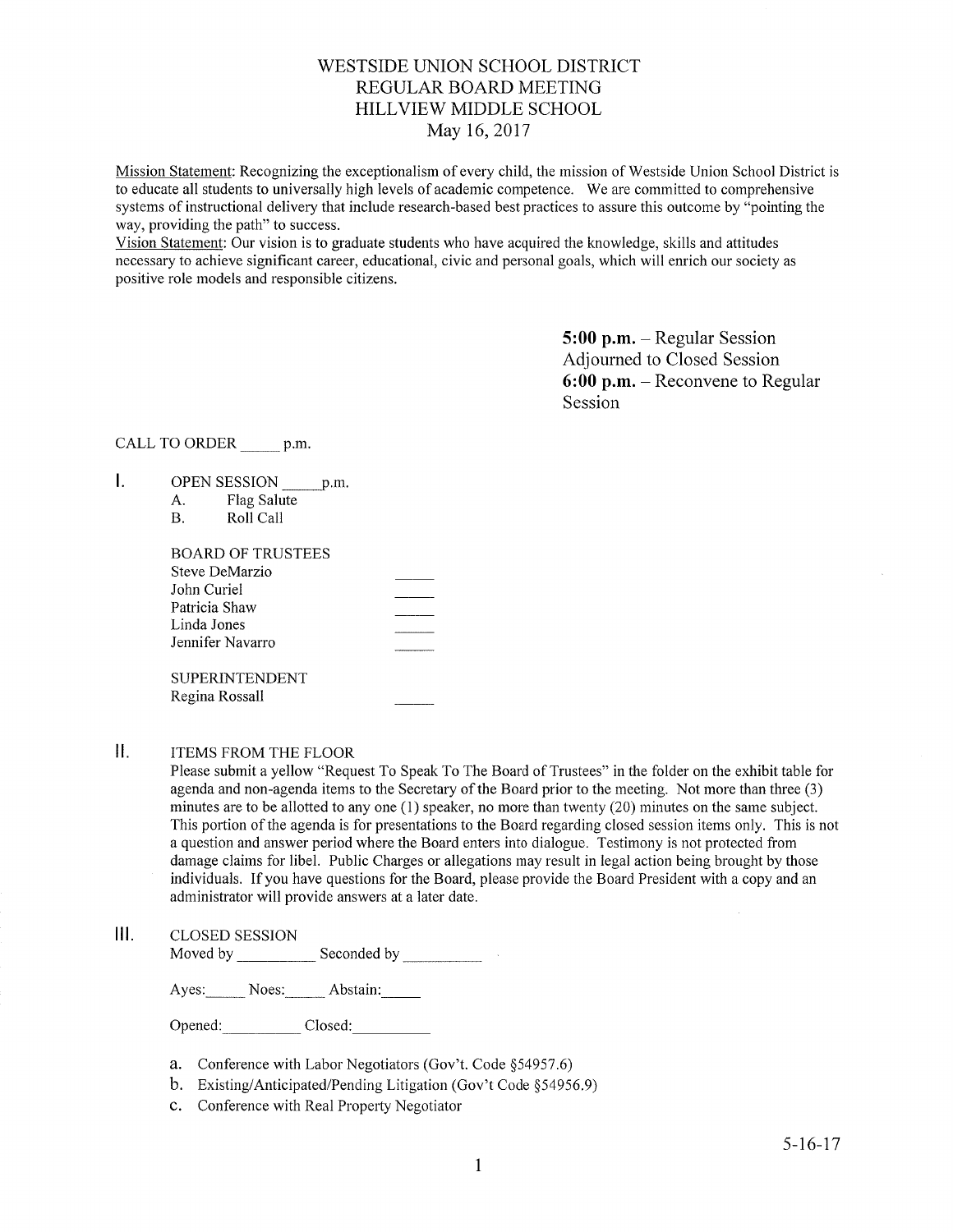# WESTSIDE UNION SCHOOL DISTRICT REGULAR BOARD MEETING HILLVIEW MIDDLE SCHOOL May 16, 2017

Mission Statement: Recognizing the exceptionalism of every child, the mission of Westside Union School District is to educate all students to universally high levels of academic competence. We are committed to comprehensive systems of instructional delivery that include research-based best practices to assure this outcome by "pointing the way, providing the path" to success.

Vision Statement: Our vision is to graduate students who have acquired the knowledge, skills and attitudes necessary to achieve significant career, educational, civic and personal goals, which will enrich our society as positive role models and responsible citizens.

> 5:00 p.m. - Regular Session Adjourned to Closed Session 6:00 p.m. - Reconvene to Regular Session

CALL TO ORDER \_\_\_\_\_\_ p.m.

- $\mathsf{L}$ OPEN SESSION \_\_\_\_\_ p.m.
	- A. Flag Salute B. Roll Call
	-

| BOARD OF TRUSTEES |  |
|-------------------|--|
| Steve DeMarzio    |  |
| John Curiel       |  |
| Patricia Shaw     |  |
| Linda Jones       |  |
| Jennifer Navarro  |  |
|                   |  |
| SUPERINTENDENT    |  |
| Regina Rossall    |  |
|                   |  |

#### $\prod_{i=1}^{n}$ ITEMS FROM THE FLOOR

Please submit a yellow "Request To Speak To The Board of Trustees" in the folder on the exhibit table for agenda and non-agenda items to the Secretary of the Board prior to the meeting. Not more than three (3) minutes are to be allotted to any one (1) speaker, no more than twenty (20) minutes on the same subject. This portion of the agenda is for presentations to the Board regarding closed session items only. This is not a question and answer period where the Board enters into dialogue. Testimony is not protected from damage claims for libel. Public Charges or allegations may result in legal action being brought by those individuals. If you have questions for the Board, please provide the Board President with a copy and an administrator will provide answers at a later date.

 $III.$ CLOSED SESSION

Moved by \_\_\_\_\_\_\_\_\_\_\_\_\_ Seconded by

Ayes: Noes: Abstain:

Opened: Closed:

- a. Conference with Labor Negotiators (Gov't. Code \$54957.6) b. Existing/Anticipated/Pending Litigation (Gov't Code \$54956.9)
- 
- c. Conference with Real Property Negotiator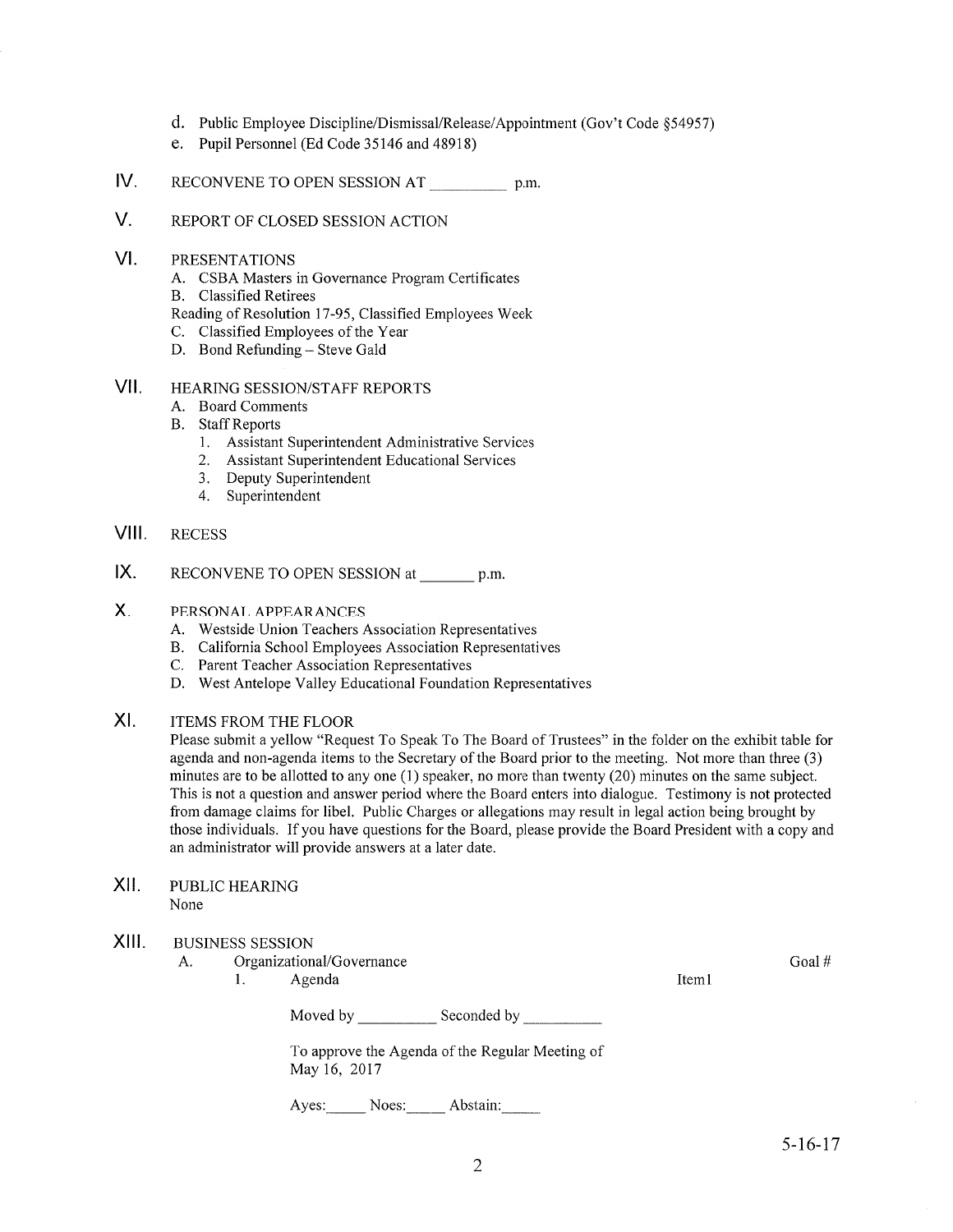- d. Public Employee Discipline/Dismissal/Release/Appointment (Gov't Code \$54957)
- e. Pupil Personnel (Ed Code 35146 and 48918)
- IV RECONVENE TO OPEN SESSION AT p.m.
- V. REPORT OF CLOSED SESSION ACTION
- VI PRESENTATIONS
	- A. CSBA Masters in Governance Program Certificates B. Classified Retirees
	-
	- Reading of Resolution 17-95, Classified Employees Week<br>C. Classified Employees of the Year<br>D. Bond Refunding Steve Gald
	-
	-
- VII. HEARING SESSION/STAFF REPORTS
	- A. Board Comments
	- B. Staff Reports
		- 1. Assistant Superintendent Administrative Services<br>2. Assistant Superintendent Educational Services
		-
		- 3. Deputy Superintendent 4. Superintendent
		-
- VIII. RECESS
- X. RECONVENE TO OPEN SESSION at \_\_\_\_\_\_\_ p.m.
- PERSONAL APPEARANCES X.
	-
	- A. Westside Union Teachers Association Representatives B. Califomia School Employees Association Representatives C. Parent Teacher Association Representatives D. West Antelope Valley Educational Foundation Representatives
	-
	-
- ITEMS FROM THE FLOOR  $X<sub>L</sub>$

Please submit a yellow "Request To Speak To The Board of Trustees" in the folder on the exhibit table for agenda and non-agenda items to the Secretary of the Board prior to the meeting. Not more than three (3) minutes are to be allotted to any one (1) speaker, no more than twenty (20) minutes on the same subject. This is not a question and answer period where the Board enters into dialogue. Testimony is not protected from damage claims for libel. Public Charges or allegations may result in legal action being brought by those individuals. If you have questions for the Board, please provide the Board President with a copy and an administrator will provide answers at a later date.

XII. PUBLIC HEARING None

#### XIII. BUSINESS SESSION

- A. Organizational/Governance Goal # Goal # Goal Agenda Iteml Goal # Goal # Goal # Goal # Goal # Goal # Goal # Goal # Goal # Goal # Goal # Goal # Goal # Goal # Goal # Goal # Goal # Goal # Goal # Goal # Goal # Goal # Goal #
	-

Moved by Seconded by Seconded by Seconded by Seconded by Seconded by Seconded by Seconded by Seconded by Seconded by Seconded by Seconded by Seconded by Seconded by Seconded by Seconded by Seconded by Seconded by Seconded

To approve the Agenda of the Regular Meeting of May 16, <sup>2017</sup>

Ayes: Noes: Abstain: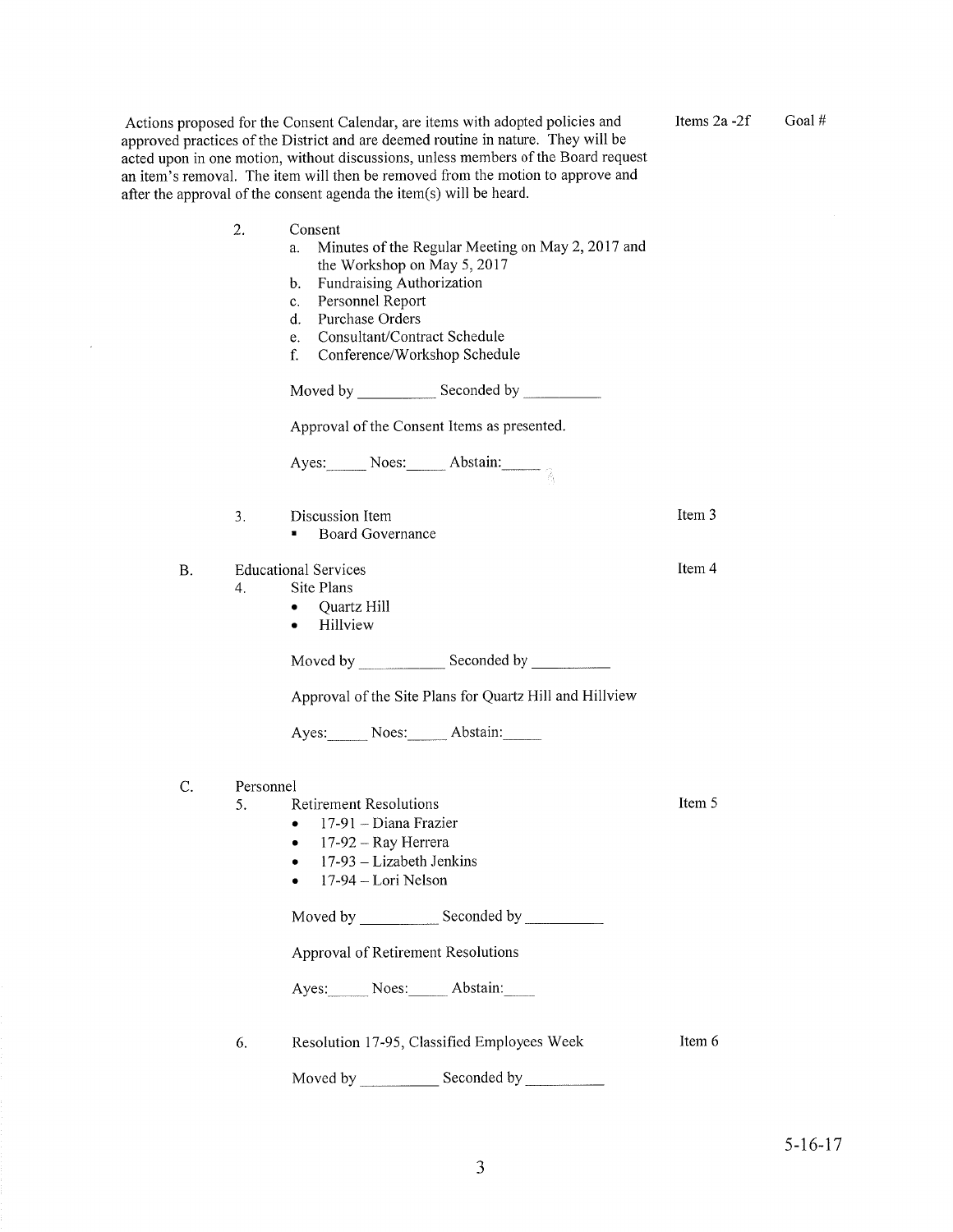|           |           | Actions proposed for the Consent Calendar, are items with adopted policies and<br>approved practices of the District and are deemed routine in nature. They will be<br>acted upon in one motion, without discussions, unless members of the Board request<br>an item's removal. The item will then be removed from the motion to approve and<br>after the approval of the consent agenda the item(s) will be heard. | Items $2a-2f$ | Goal# |
|-----------|-----------|---------------------------------------------------------------------------------------------------------------------------------------------------------------------------------------------------------------------------------------------------------------------------------------------------------------------------------------------------------------------------------------------------------------------|---------------|-------|
|           | 2.        | Consent<br>Minutes of the Regular Meeting on May 2, 2017 and<br>a.<br>the Workshop on May 5, 2017<br>Fundraising Authorization<br>b.<br>Personnel Report<br>c.<br>Purchase Orders<br>d.<br>Consultant/Contract Schedule<br>e.<br>f.<br>Conference/Workshop Schedule                                                                                                                                                 |               |       |
|           |           |                                                                                                                                                                                                                                                                                                                                                                                                                     |               |       |
|           |           | Approval of the Consent Items as presented.                                                                                                                                                                                                                                                                                                                                                                         |               |       |
|           |           | Ayes: Noes: Abstain: $\frac{1}{2}$                                                                                                                                                                                                                                                                                                                                                                                  |               |       |
|           | 3.        | Discussion Item<br><b>Board Governance</b><br>$\blacksquare$                                                                                                                                                                                                                                                                                                                                                        | Item 3        |       |
| <b>B.</b> | 4.        | <b>Educational Services</b><br>Site Plans<br>Quartz Hill<br>$\bullet$<br>Hillview<br>$\bullet$                                                                                                                                                                                                                                                                                                                      | Item 4        |       |
|           |           | Moved by Seconded by Seconded by Seconded by Seconded by Seconded by Seconded by Seconded by Seconded by Seconded by Seconded by Seconded by Seconded by Seconded by Seconded by Seconded by Seconded by Seconded by Seconded                                                                                                                                                                                       |               |       |
|           |           | Approval of the Site Plans for Quartz Hill and Hillview                                                                                                                                                                                                                                                                                                                                                             |               |       |
|           |           | Ayes: Noes: Abstain:                                                                                                                                                                                                                                                                                                                                                                                                |               |       |
| C.        | Personnel | 5. Retirement Resolutions<br>17-91 - Diana Frazier<br>17-92 - Ray Herrera<br>$17-93$ – Lizabeth Jenkins<br>17-94 - Lori Nelson                                                                                                                                                                                                                                                                                      | Item 5        |       |
|           |           |                                                                                                                                                                                                                                                                                                                                                                                                                     |               |       |
|           |           | Approval of Retirement Resolutions                                                                                                                                                                                                                                                                                                                                                                                  |               |       |
|           |           | Ayes: Noes: Abstain:                                                                                                                                                                                                                                                                                                                                                                                                |               |       |
|           | 6.        | Resolution 17-95, Classified Employees Week                                                                                                                                                                                                                                                                                                                                                                         | Item 6        |       |
|           |           | Seconded by<br>Moved by <b>Example</b>                                                                                                                                                                                                                                                                                                                                                                              |               |       |

 $\mathcal{A}$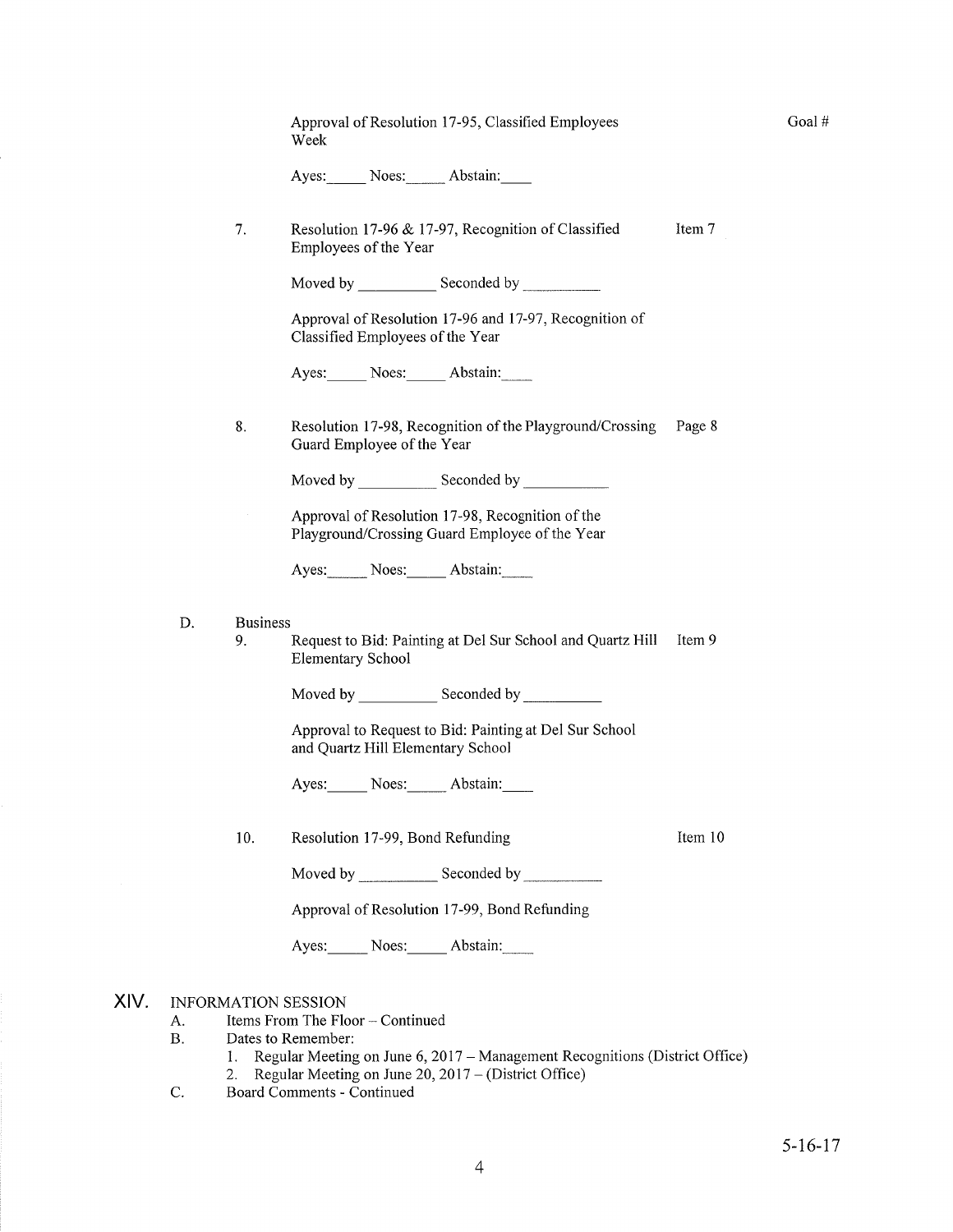|      |          |                       | Approval of Resolution 17-95, Classified Employees<br>Week                                         |         |
|------|----------|-----------------------|----------------------------------------------------------------------------------------------------|---------|
|      |          |                       | Ayes: Noes: Abstain:                                                                               |         |
|      |          | 7.                    | Resolution 17-96 & 17-97, Recognition of Classified<br>Employees of the Year                       | Item 7  |
|      |          |                       |                                                                                                    |         |
|      |          |                       | Approval of Resolution 17-96 and 17-97, Recognition of<br>Classified Employees of the Year         |         |
|      |          |                       | Ayes: Noes: Abstain:                                                                               |         |
|      |          | 8.                    | Resolution 17-98, Recognition of the Playground/Crossing<br>Guard Employee of the Year             | Page 8  |
|      |          |                       |                                                                                                    |         |
|      |          |                       | Approval of Resolution 17-98, Recognition of the<br>Playground/Crossing Guard Employee of the Year |         |
|      |          |                       | Ayes: Noes: Abstain:                                                                               |         |
|      | D.       | <b>Business</b><br>9. | Request to Bid: Painting at Del Sur School and Quartz Hill<br><b>Elementary School</b>             | Item 9  |
|      |          |                       |                                                                                                    |         |
|      |          |                       | Approval to Request to Bid: Painting at Del Sur School<br>and Quartz Hill Elementary School        |         |
|      |          |                       | Ayes: Noes: Abstain:                                                                               |         |
|      |          | 10.                   | Resolution 17-99, Bond Refunding                                                                   | Item 10 |
|      |          |                       | Moved by Seconded by                                                                               |         |
|      |          |                       | Approval of Resolution 17-99, Bond Refunding                                                       |         |
|      |          |                       | Ayes: Noes: Abstain:                                                                               |         |
| XIV. | А.<br>В. |                       | <b>INFORMATION SESSION</b><br>Items From The Floor – Continued<br>Dates to Remember:               |         |

1. Regular Meeting on June 6, 2017 – Management Recognitions (District Office)<br>2. Regular Meeting on June 20, 2017 – (District Office)<br>C. Board Comments - Continued

Goal #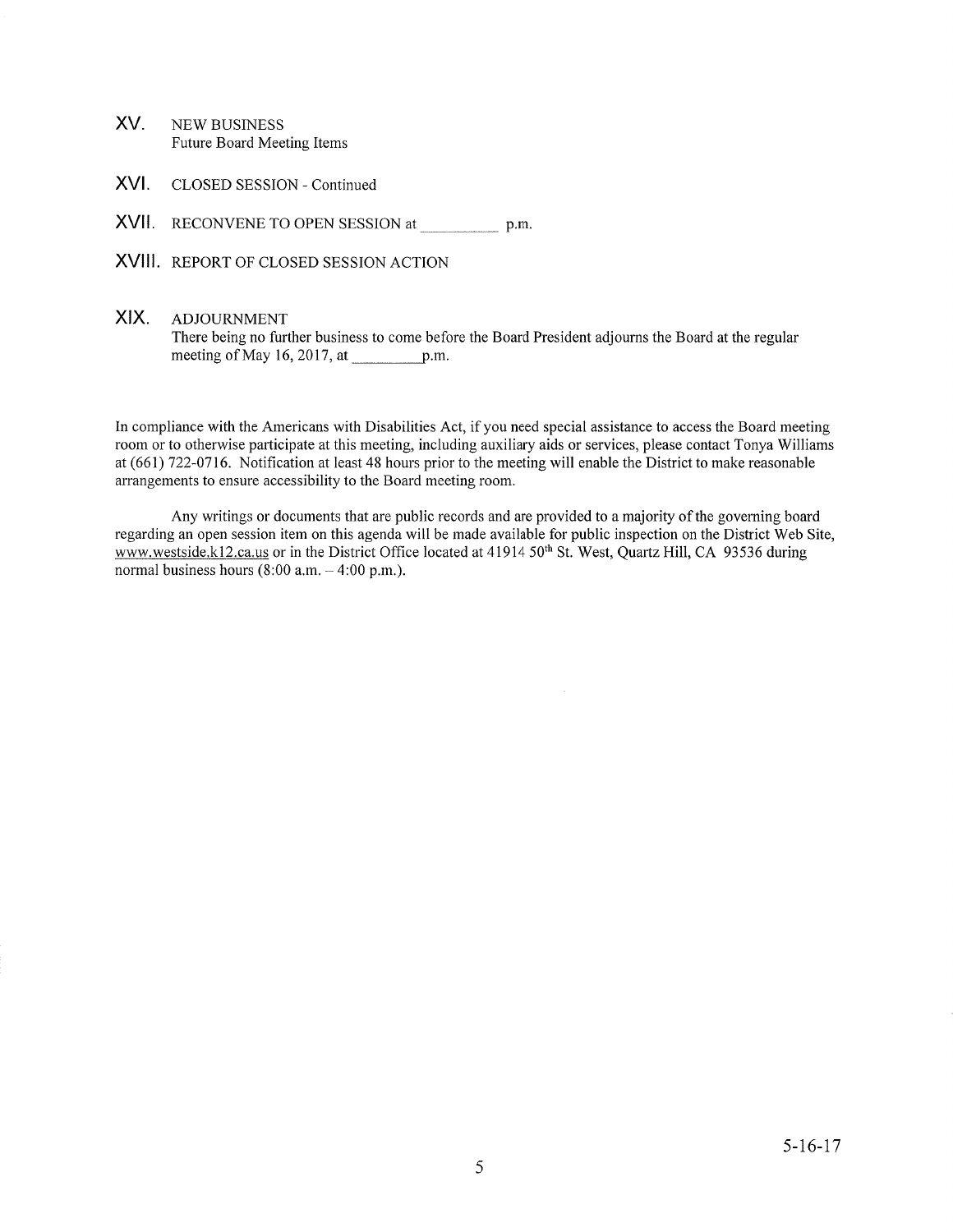- XV NEW BUSINESS Future Board Meeting Items
- XVI. CLOSED SESSION - Continued
- XVII. RECONVENE TO OPEN SESSION at \_\_\_\_\_\_\_\_\_\_\_\_\_ p.m

XVIII REPORT OF CLOSED SESSION ACTION

## XIX. ADJOURNMENT

There being no further business to come before the Board President adjourrs the Board at the regular meeting of May 16, 2017, at  $p.m.$ 

In compliance with the Americans with Disabilities Act, if you need special assistance to access the Board meeting room or to otherwise parlicipate at this meeting, including auxiliary aids or services, please contact Tonya Williams at (661) 722-0116. Notification at least 48 hours prior to the meeting will enable the District to make reasonable arrangements to ensure accessibility to the Board meeting room.

Any writings or documents that are public records and are provided to a majority of the governing board regarding an open session item on this agenda will be made available for public inspection on the District Web Site, www.westside.kl2.ca.us or in the District Office located at 41914 50<sup>th</sup> St. West, Quartz Hill, CA 93536 during normal business hours  $(8:00 a.m. - 4:00 p.m.).$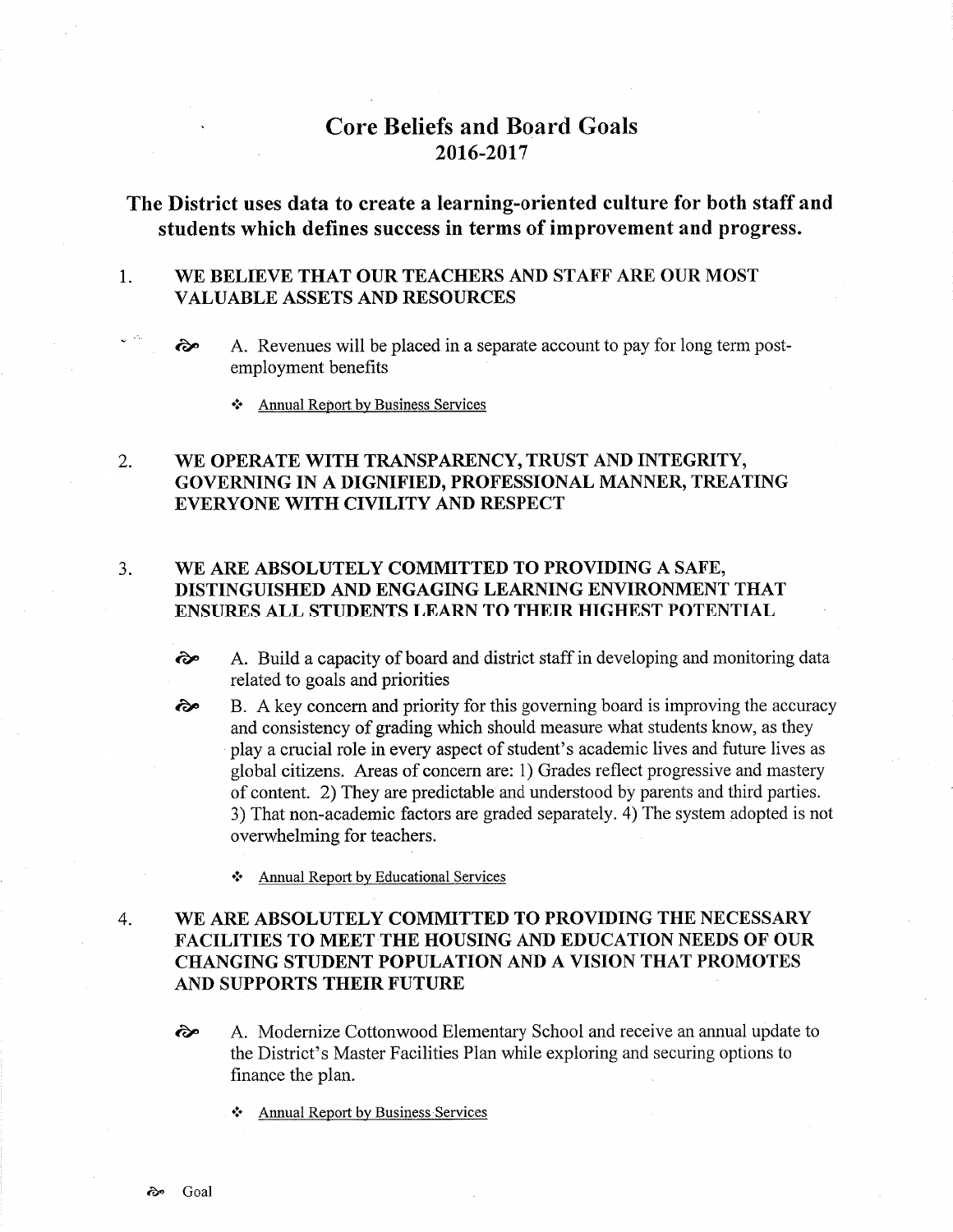# Core Beliefs and Board Goals 2016-2017

# The District uses data to create a learning-oriented culture for both staff and students which defines success in terms of improvement and progress.

### 1 WE BELIEVE THAT OUR TEACHERS AND STAFF ARE OUR MOST VALUABLE ASSETS AND RESOURCES

- $\hat{\infty}$  A. Revenues will be placed in a separate account to pay for long term postemployment benefits
	- .i. Annual ReÞort by Business Services

### WE OPERATE WITH TRANSPARENCY, TRUST AND INTEGRITY, GOVERNING IN A DIGNIFIED, PROFESSIONAL MANNER, TREATING EVERYONE WITH CIVILITY AND RESPECT 2

### WE ARE ABSOLUTELY COMMITTED TO PROVIDING A SAFE, DISTINGUISHED AND ENGAGING LEARNING ENVIRONMENT THAT ENSURES ALL STUDENTS LEARN TO THEIR HIGHEST POTENTIAL J

- ôp A. Build a capacity of board and district staff in developing and monitoring data related to goals and priorities
- B. A key concern and priority for this governing board is improving the accuracy and consistency of grading which should measure what students know, as they play a crucial role in every aspect of student's academic lives and future lives as global citizens. Areas of concern are: 1) Grades reflect progressive and mastery of content. 2) They are predictable and understood by parents and third parties. 3) That non-academic factors are graded separately. 4) The system adopted is not overwhelming for teachers. ôp
	- \* Annual Report by Educational Services

## WE ARE ABSOLUTELY COMMITTED TO PROVIDING THE NECESSARY FACILITIES TO MEET THE HOUSING AND EDUCATION NEEDS OF OUR CHANGING STUDENT POPULATION AND A VISION THAT PROMOTES AND SUPPORTS THEIR FUTURE 4

- <sup>2</sup> A. Modernize Cottonwood Elementary School and receive an annual update to the District's Master Facilities Plan while exploring and securing options to finance the plan.
	- Annual Report by Business Services